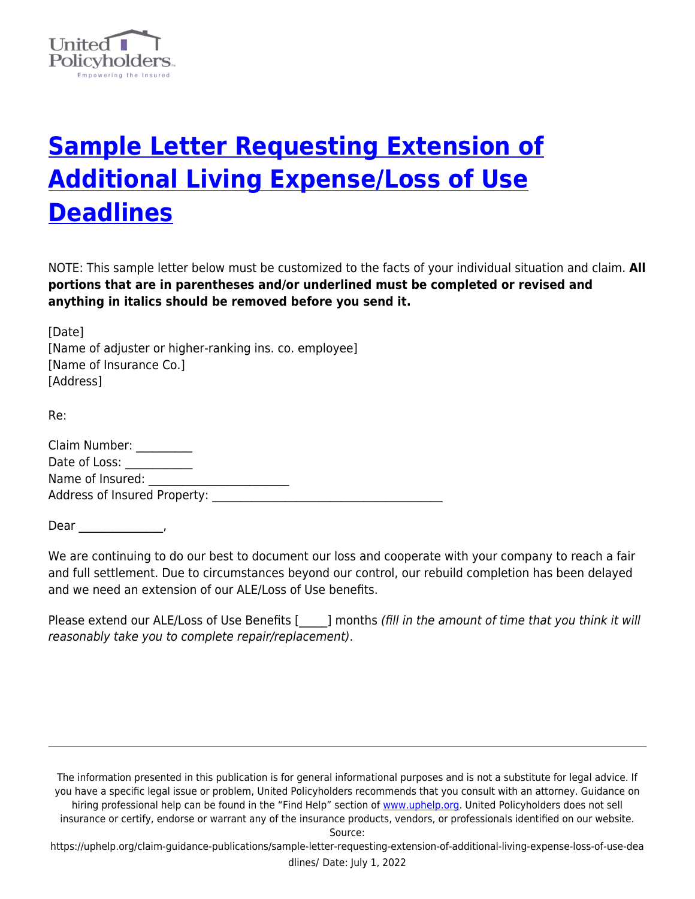

## **[Sample Letter Requesting Extension of](https://uphelp.org/claim-guidance-publications/sample-letter-requesting-extension-of-additional-living-expense-loss-of-use-deadlines/) [Additional Living Expense/Loss of Use](https://uphelp.org/claim-guidance-publications/sample-letter-requesting-extension-of-additional-living-expense-loss-of-use-deadlines/) [Deadlines](https://uphelp.org/claim-guidance-publications/sample-letter-requesting-extension-of-additional-living-expense-loss-of-use-deadlines/)**

NOTE: This sample letter below must be customized to the facts of your individual situation and claim. **All portions that are in parentheses and/or underlined must be completed or revised and anything in italics should be removed before you send it.**

[Date] [Name of adjuster or higher-ranking ins. co. employee] [Name of Insurance Co.] [Address]

Re:

| Claim Number:                       |  |
|-------------------------------------|--|
| Date of Loss:                       |  |
| Name of Insured:                    |  |
| <b>Address of Insured Property:</b> |  |

Dear \_\_\_\_\_\_\_\_\_\_\_\_\_\_\_,

We are continuing to do our best to document our loss and cooperate with your company to reach a fair and full settlement. Due to circumstances beyond our control, our rebuild completion has been delayed and we need an extension of our ALE/Loss of Use benefits.

Please extend our ALE/Loss of Use Benefits [equid ] months (fill in the amount of time that you think it will reasonably take you to complete repair/replacement).

The information presented in this publication is for general informational purposes and is not a substitute for legal advice. If you have a specific legal issue or problem, United Policyholders recommends that you consult with an attorney. Guidance on hiring professional help can be found in the "Find Help" section of [www.uphelp.org.](http://www.uphelp.org/) United Policyholders does not sell insurance or certify, endorse or warrant any of the insurance products, vendors, or professionals identified on our website.

Source:

https://uphelp.org/claim-guidance-publications/sample-letter-requesting-extension-of-additional-living-expense-loss-of-use-dea dlines/ Date: July 1, 2022